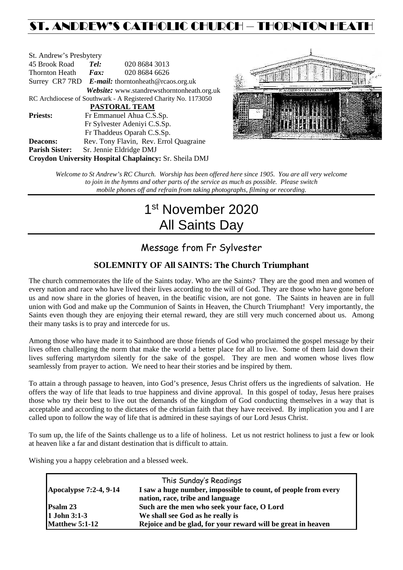# ST. ANDREW'S CATHOLIC CHURCH – THORNTON HEATH

| St. Andrew's Presbytery                                        |                                                      |                                            |  |  |  |
|----------------------------------------------------------------|------------------------------------------------------|--------------------------------------------|--|--|--|
| 45 Brook Road                                                  | Tel:<br>020 8684 3013                                |                                            |  |  |  |
| Thornton Heath                                                 | $\boldsymbol{Fax:}$                                  | 020 8684 6626                              |  |  |  |
|                                                                | Surrey CR7 7RD $E$ -mail: thorntonheath@rcaos.org.uk |                                            |  |  |  |
|                                                                |                                                      | Website: www.standrewsthorntonheath.org.uk |  |  |  |
| RC Archdiocese of Southwark - A Registered Charity No. 1173050 |                                                      |                                            |  |  |  |
| <b>PASTORAL TEAM</b>                                           |                                                      |                                            |  |  |  |
| <b>Priests:</b>                                                | Fr Emmanuel Ahua C.S.Sp.                             |                                            |  |  |  |
|                                                                | Fr Sylvester Adeniyi C.S.Sp.                         |                                            |  |  |  |
|                                                                |                                                      | Fr Thaddeus Oparah C.S.Sp.                 |  |  |  |
| <b>Deacons:</b>                                                |                                                      | Rev. Tony Flavin, Rev. Errol Quagraine     |  |  |  |
| <b>Parish Sister:</b>                                          |                                                      | Sr. Jennie Eldridge DMJ                    |  |  |  |
| <b>Croydon University Hospital Chaplaincy: Sr. Sheila DMJ</b>  |                                                      |                                            |  |  |  |



*Welcome to St Andrew's RC Church. Worship has been offered here since 1905. You are all very welcome to join in the hymns and other parts of the service as much as possible. Please switch mobile phones off and refrain from taking photographs, filming or recording.*

# 1st November 2020 All Saints Day

# Message from Fr Sylvester

## **SOLEMNITY OF All SAINTS: The Church Triumphant**

The church commemorates the life of the Saints today. Who are the Saints? They are the good men and women of every nation and race who have lived their lives according to the will of God. They are those who have gone before us and now share in the glories of heaven, in the beatific vision, are not gone. The Saints in heaven are in full union with God and make up the Communion of Saints in Heaven, the Church Triumphant! Very importantly, the Saints even though they are enjoying their eternal reward, they are still very much concerned about us. Among their many tasks is to pray and intercede for us.

Among those who have made it to Sainthood are those friends of God who proclaimed the gospel message by their lives often challenging the norm that make the world a better place for all to live. Some of them laid down their lives suffering martyrdom silently for the sake of the gospel. They are men and women whose lives flow seamlessly from prayer to action. We need to hear their stories and be inspired by them.

To attain a through passage to heaven, into God's presence, Jesus Christ offers us the ingredients of salvation. He offers the way of life that leads to true happiness and divine approval. In this gospel of today, Jesus here praises those who try their best to live out the demands of the kingdom of God conducting themselves in a way that is acceptable and according to the dictates of the christian faith that they have received. By implication you and I are called upon to follow the way of life that is admired in these sayings of our Lord Jesus Christ.

To sum up, the life of the Saints challenge us to a life of holiness. Let us not restrict holiness to just a few or look at heaven like a far and distant destination that is difficult to attain.

Wishing you a happy celebration and a blessed week.

|                               | This Sunday's Readings                                         |  |
|-------------------------------|----------------------------------------------------------------|--|
| <b>Apocalypse 7:2-4, 9-14</b> | I saw a huge number, impossible to count, of people from every |  |
|                               | nation, race, tribe and language                               |  |
| Psalm 23                      | Such are the men who seek your face, O Lord                    |  |
| 1 John 3:1-3                  | We shall see God as he really is                               |  |
| <b>Matthew 5:1-12</b>         | Rejoice and be glad, for your reward will be great in heaven   |  |